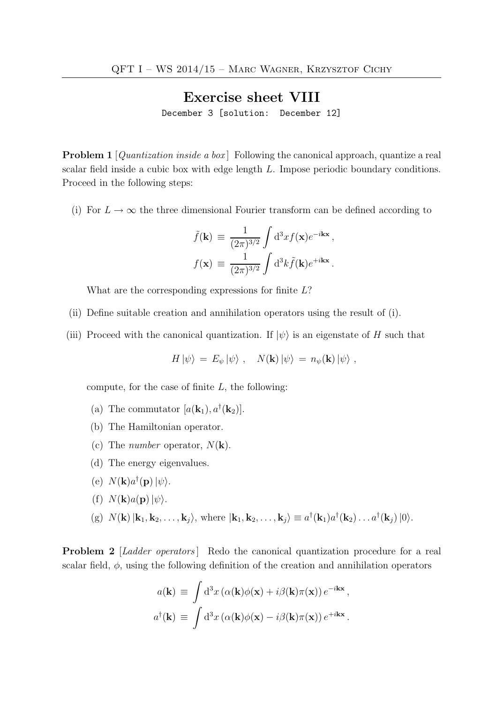## Exercise sheet VIII

December 3 [solution: December 12]

**Problem 1** [*Quantization inside a box*] Following the canonical approach, quantize a real scalar field inside a cubic box with edge length L. Impose periodic boundary conditions. Proceed in the following steps:

(i) For  $L \to \infty$  the three dimensional Fourier transform can be defined according to

$$
\tilde{f}(\mathbf{k}) \equiv \frac{1}{(2\pi)^{3/2}} \int d^3x f(\mathbf{x}) e^{-i\mathbf{k}\mathbf{x}},
$$

$$
f(\mathbf{x}) \equiv \frac{1}{(2\pi)^{3/2}} \int d^3k \tilde{f}(\mathbf{k}) e^{+i\mathbf{k}\mathbf{x}}.
$$

What are the corresponding expressions for finite L?

- (ii) Define suitable creation and annihilation operators using the result of (i).
- (iii) Proceed with the canonical quantization. If  $|\psi\rangle$  is an eigenstate of H such that

 $H |\psi\rangle = E_{\psi} |\psi\rangle$ ,  $N(\mathbf{k}) |\psi\rangle = n_{\psi}(\mathbf{k}) |\psi\rangle$ ,

compute, for the case of finite  $L$ , the following:

- (a) The commutator  $[a(\mathbf{k}_1), a^{\dagger}(\mathbf{k}_2)].$
- (b) The Hamiltonian operator.
- (c) The *number* operator,  $N(\mathbf{k})$ .
- (d) The energy eigenvalues.
- (e)  $N(\mathbf{k})a^{\dagger}(\mathbf{p})|\psi\rangle$ .
- (f)  $N(\mathbf{k})a(\mathbf{p})|\psi\rangle$ .
- (g)  $N(\mathbf{k}) \, |\mathbf{k}_1, \mathbf{k}_2, \dots, \mathbf{k}_j \rangle$ , where  $|\mathbf{k}_1, \mathbf{k}_2, \dots, \mathbf{k}_j \rangle \equiv a^{\dagger}(\mathbf{k}_1) a^{\dagger}(\mathbf{k}_2) \dots a^{\dagger}(\mathbf{k}_j) |0 \rangle$ .

**Problem 2** [Ladder operators] Redo the canonical quantization procedure for a real scalar field,  $\phi$ , using the following definition of the creation and annihilation operators

$$
a(\mathbf{k}) \equiv \int d^3x \left( \alpha(\mathbf{k}) \phi(\mathbf{x}) + i \beta(\mathbf{k}) \pi(\mathbf{x}) \right) e^{-i\mathbf{k}\mathbf{x}},
$$

$$
a^{\dagger}(\mathbf{k}) \equiv \int d^3x \left( \alpha(\mathbf{k}) \phi(\mathbf{x}) - i \beta(\mathbf{k}) \pi(\mathbf{x}) \right) e^{+i\mathbf{k}\mathbf{x}}.
$$